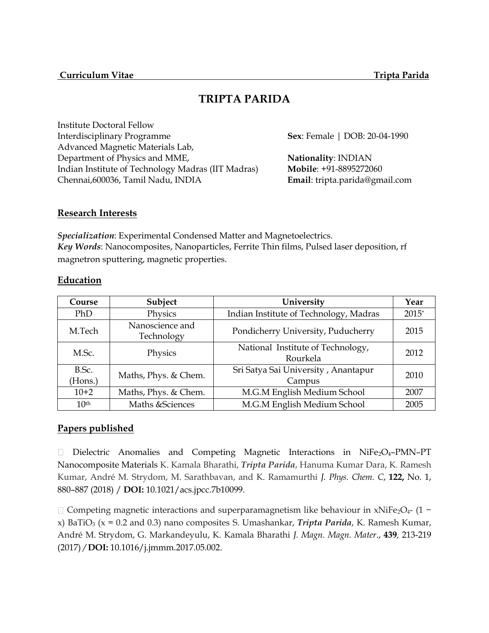# **TRIPTA PARIDA**

Institute Doctoral Fellow Interdisciplinary Programme **Sex**: Female | DOB: 20-04-1990 Advanced Magnetic Materials Lab, Department of Physics and MME, **Nationality: INDIAN** Indian Institute of Technology Madras (IIT Madras) **Mobile**: +91-8895272060 Chennai,600036, Tamil Nadu, INDIA **Email**: tripta.parida@gmail.com

# **Research Interests**

*Specialization*: Experimental Condensed Matter and Magnetoelectrics. *Key Words*: Nanocomposites, Nanoparticles, Ferrite Thin films, Pulsed laser deposition, rf magnetron sputtering, magnetic properties.

# **Education**

| Course           | Subject                       | University                                    | Year    |
|------------------|-------------------------------|-----------------------------------------------|---------|
| PhD              | Physics                       | Indian Institute of Technology, Madras        | $2015*$ |
| M.Tech           | Nanoscience and<br>Technology | Pondicherry University, Puducherry            | 2015    |
| M.Sc.            | Physics                       | National Institute of Technology,<br>Rourkela | 2012    |
| B.Sc.<br>(Hons.) | Maths, Phys. & Chem.          | Sri Satya Sai University, Anantapur<br>Campus | 2010    |
| $10+2$           | Maths, Phys. & Chem.          | M.G.M English Medium School                   | 2007    |
| 10 <sup>th</sup> | Maths & Sciences              | M.G.M English Medium School                   | 2005    |

# **Papers published**

Dielectric Anomalies and Competing Magnetic Interactions in NiFe<sub>2</sub>O<sub>4</sub>-PMN-PT Nanocomposite Materials [K. Kamala Bharathi,](https://pubs.acs.org/author/Kamala+Bharathi%2C+K) *[Tripta Parida](https://pubs.acs.org/author/Parida%2C+Tripta)*, [Hanuma Kumar Dara,](https://pubs.acs.org/author/Kumar+Dara%2C+Hanuma) [K. Ramesh](https://pubs.acs.org/author/Kumar%2C+K+Ramesh)  [Kumar,](https://pubs.acs.org/author/Kumar%2C+K+Ramesh) [André M. Strydom,](https://pubs.acs.org/author/Strydom%2C+Andr%C3%A9+M) [M. Sarathbavan,](https://pubs.acs.org/author/Sarathbavan%2C+M) and [K. Ramamurthi](https://pubs.acs.org/author/Ramamurthi%2C+K) *J. Phys. Chem. C*, **122,** No. 1, 880–887 (2018) / **DOI:** 10.1021/acs.jpcc.7b10099.

Competing magnetic interactions and superparamagnetism like behaviour in xNiFe2O4- (1 − x) BaTiO<sup>3</sup> (x = 0.2 and 0.3) nano composites S. Umashankar, *Tripta Parida*, K. Ramesh Kumar, André M. Strydom, G. Markandeyulu, K. Kamala Bharathi *J. Magn. Magn. Mater*., **439***,* 213-219 (2017) */* **DOI:** 10.1016/j.jmmm.2017.05.002.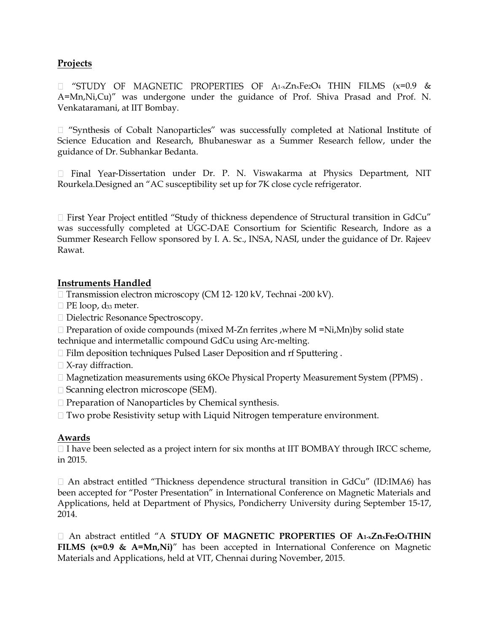# **Projects**

 $\Box$  "STUDY OF MAGNETIC PROPERTIES OF A1-xZnxFe2O4 THIN FILMS (x=0.9 & A=Mn,Ni,Cu)" was undergone under the guidance of Prof. Shiva Prasad and Prof. N. Venkataramani, at IIT Bombay.

 $\Box$  "Synthesis of Cobalt Nanoparticles" was successfully completed at National Institute of Science Education and Research, Bhubaneswar as a Summer Research fellow, under the guidance of Dr. Subhankar Bedanta.

 $\Box$  Final Year-Dissertation under Dr. P. N. Viswakarma at Physics Department, NIT Rourkela.Designed an "AC susceptibility set up for 7K close cycle refrigerator.

 $\Box$  First Year Project entitled "Study of thickness dependence of Structural transition in GdCu" was successfully completed at UGC-DAE Consortium for Scientific Research, Indore as a Summer Research Fellow sponsored by I. A. Sc., INSA, NASI, under the guidance of Dr. Rajeev Rawat.

# **Instruments Handled**

- □ Transmission electron microscopy (CM 12- 120 kV, Technai -200 kV).
- $\Box$  PE loop,  $d_{33}$  meter.
- □ Dielectric Resonance Spectroscopy.
- $\Box$  Preparation of oxide compounds (mixed M-Zn ferrites , where M =Ni,Mn) by solid state technique and intermetallic compound GdCu using Arc-melting.
- $\Box$  Film deposition techniques Pulsed Laser Deposition and rf Sputtering.
- $\Box$  X-ray diffraction.
- $\Box$  Magnetization measurements using 6KOe Physical Property Measurement System (PPMS).
- □ Scanning electron microscope (SEM).
- $\Box$  Preparation of Nanoparticles by Chemical synthesis.
- $\Box$  Two probe Resistivity setup with Liquid Nitrogen temperature environment.

# **Awards**

 $\Box$  I have been selected as a project intern for six months at IIT BOMBAY through IRCC scheme, in 2015.

 $\Box$  An abstract entitled "Thickness dependence structural transition in GdCu" (ID:IMA6) has been accepted for "Poster Presentation" in International Conference on Magnetic Materials and Applications, held at Department of Physics, Pondicherry University during September 15-17, 2014.

An abstract entitled "A **STUDY OF MAGNETIC PROPERTIES OF A1-xZnxFe2O4THIN FILMS (x=0.9 & A=Mn,Ni)<sup>"</sup>** has been accepted in International Conference on Magnetic Materials and Applications, held at VIT, Chennai during November, 2015.